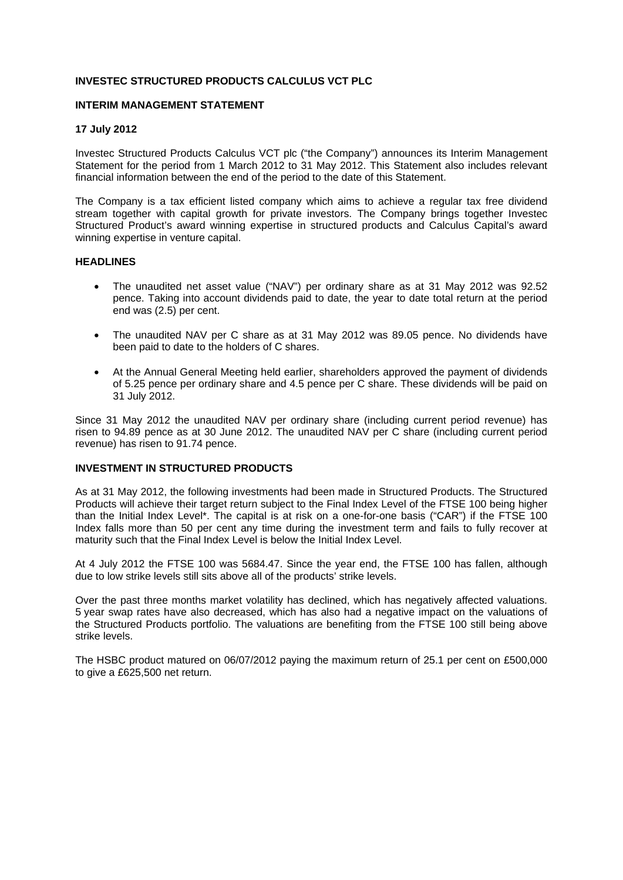# **INVESTEC STRUCTURED PRODUCTS CALCULUS VCT PLC**

### **INTERIM MANAGEMENT STATEMENT**

### **17 July 2012**

Investec Structured Products Calculus VCT plc ("the Company") announces its Interim Management Statement for the period from 1 March 2012 to 31 May 2012. This Statement also includes relevant financial information between the end of the period to the date of this Statement.

The Company is a tax efficient listed company which aims to achieve a regular tax free dividend stream together with capital growth for private investors. The Company brings together Investec Structured Product's award winning expertise in structured products and Calculus Capital's award winning expertise in venture capital.

### **HEADLINES**

- The unaudited net asset value ("NAV") per ordinary share as at 31 May 2012 was 92.52 pence. Taking into account dividends paid to date, the year to date total return at the period end was (2.5) per cent.
- The unaudited NAV per C share as at 31 May 2012 was 89.05 pence. No dividends have been paid to date to the holders of C shares.
- At the Annual General Meeting held earlier, shareholders approved the payment of dividends of 5.25 pence per ordinary share and 4.5 pence per C share. These dividends will be paid on 31 July 2012.

Since 31 May 2012 the unaudited NAV per ordinary share (including current period revenue) has risen to 94.89 pence as at 30 June 2012. The unaudited NAV per C share (including current period revenue) has risen to 91.74 pence.

## **INVESTMENT IN STRUCTURED PRODUCTS**

As at 31 May 2012, the following investments had been made in Structured Products. The Structured Products will achieve their target return subject to the Final Index Level of the FTSE 100 being higher than the Initial Index Level\*. The capital is at risk on a one-for-one basis ("CAR") if the FTSE 100 Index falls more than 50 per cent any time during the investment term and fails to fully recover at maturity such that the Final Index Level is below the Initial Index Level.

At 4 July 2012 the FTSE 100 was 5684.47. Since the year end, the FTSE 100 has fallen, although due to low strike levels still sits above all of the products' strike levels.

Over the past three months market volatility has declined, which has negatively affected valuations. 5 year swap rates have also decreased, which has also had a negative impact on the valuations of the Structured Products portfolio. The valuations are benefiting from the FTSE 100 still being above strike levels.

The HSBC product matured on 06/07/2012 paying the maximum return of 25.1 per cent on £500,000 to give a £625,500 net return.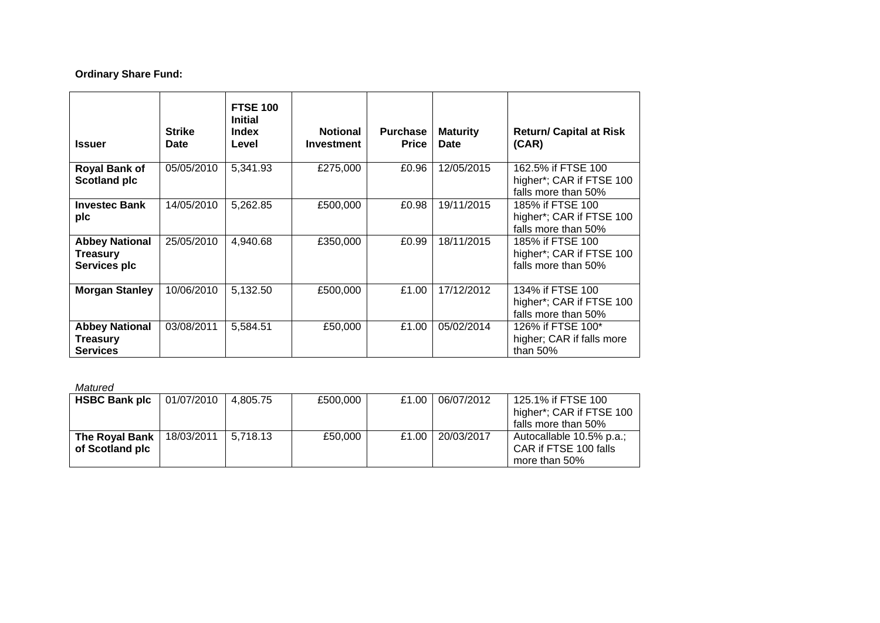# **Ordinary Share Fund:**

| <b>Issuer</b>                                               | <b>Strike</b><br>Date | <b>FTSE 100</b><br><b>Initial</b><br><b>Index</b><br>Level | <b>Notional</b><br><b>Investment</b> | <b>Purchase</b><br><b>Price</b> | <b>Maturity</b><br>Date | <b>Return/ Capital at Risk</b><br>(CAR)                               |
|-------------------------------------------------------------|-----------------------|------------------------------------------------------------|--------------------------------------|---------------------------------|-------------------------|-----------------------------------------------------------------------|
| <b>Royal Bank of</b><br><b>Scotland plc</b>                 | 05/05/2010            | 5,341.93                                                   | £275,000                             | £0.96                           | 12/05/2015              | 162.5% if FTSE 100<br>higher*; CAR if FTSE 100<br>falls more than 50% |
| <b>Investec Bank</b><br>plc                                 | 14/05/2010            | 5,262.85                                                   | £500,000                             | £0.98                           | 19/11/2015              | 185% if FTSE 100<br>higher*; CAR if FTSE 100<br>falls more than 50%   |
| <b>Abbey National</b><br><b>Treasury</b><br>Services plc    | 25/05/2010            | 4,940.68                                                   | £350,000                             | £0.99                           | 18/11/2015              | 185% if FTSE 100<br>higher*; CAR if FTSE 100<br>falls more than 50%   |
| <b>Morgan Stanley</b>                                       | 10/06/2010            | 5,132.50                                                   | £500,000                             | £1.00                           | 17/12/2012              | 134% if FTSE 100<br>higher*; CAR if FTSE 100<br>falls more than 50%   |
| <b>Abbey National</b><br><b>Treasury</b><br><b>Services</b> | 03/08/2011            | 5,584.51                                                   | £50,000                              | £1.00                           | 05/02/2014              | 126% if FTSE 100*<br>higher; CAR if falls more<br>than $50%$          |

*Matured* 

| <b>HSBC Bank plc</b>              | 01/07/2010 | 4.805.75 | £500,000 | £1.00 | 06/07/2012 | 125.1% if FTSE 100<br>higher*; CAR if FTSE 100<br>falls more than 50% |
|-----------------------------------|------------|----------|----------|-------|------------|-----------------------------------------------------------------------|
| The Royal Bank<br>of Scotland plc | 18/03/2011 | 5.718.13 | £50.000  | £1.00 | 20/03/2017 | Autocallable 10.5% p.a.;<br>CAR if FTSE 100 falls<br>more than 50%    |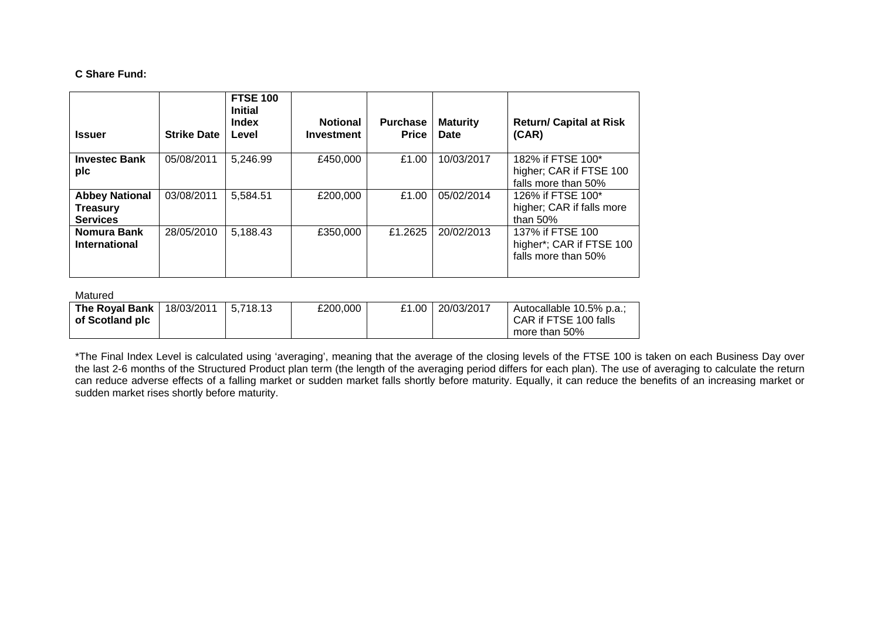# **C Share Fund:**

| <b>Issuer</b>                                               | <b>Strike Date</b> | <b>FTSE 100</b><br><b>Initial</b><br><b>Index</b><br>Level | <b>Notional</b><br><b>Investment</b> | <b>Purchase</b><br>Price | <b>Maturity</b><br>Date | <b>Return/ Capital at Risk</b><br>(CAR)                             |
|-------------------------------------------------------------|--------------------|------------------------------------------------------------|--------------------------------------|--------------------------|-------------------------|---------------------------------------------------------------------|
| <b>Investec Bank</b><br>plc                                 | 05/08/2011         | 5,246.99                                                   | £450,000                             | £1.00                    | 10/03/2017              | 182% if FTSE 100*<br>higher; CAR if FTSE 100<br>falls more than 50% |
| <b>Abbey National</b><br><b>Treasury</b><br><b>Services</b> | 03/08/2011         | 5,584.51                                                   | £200,000                             | £1.00                    | 05/02/2014              | 126% if FTSE 100*<br>higher; CAR if falls more<br>than $50\%$       |
| Nomura Bank<br><b>International</b>                         | 28/05/2010         | 5,188.43                                                   | £350,000                             | £1.2625                  | 20/02/2013              | 137% if FTSE 100<br>higher*; CAR if FTSE 100<br>falls more than 50% |

Matured

| <b>The Roval Bank</b> I | 18/03/2011 | 5.718.13 | £200.000 | £1.00 | 20/03/2017 | Autocallable 10.5% p.a.; |
|-------------------------|------------|----------|----------|-------|------------|--------------------------|
| of Scotland plc         |            |          |          |       |            | CAR if FTSE 100 falls    |
|                         |            |          |          |       |            | more than 50%            |

\*The Final Index Level is calculated using 'averaging', meaning that the average of the closing levels of the FTSE 100 is taken on each Business Day over the last 2-6 months of the Structured Product plan term (the length of the averaging period differs for each plan). The use of averaging to calculate the return can reduce adverse effects of a falling market or sudden market falls shortly before maturity. Equally, it can reduce the benefits of an increasing market or sudden market rises shortly before maturity.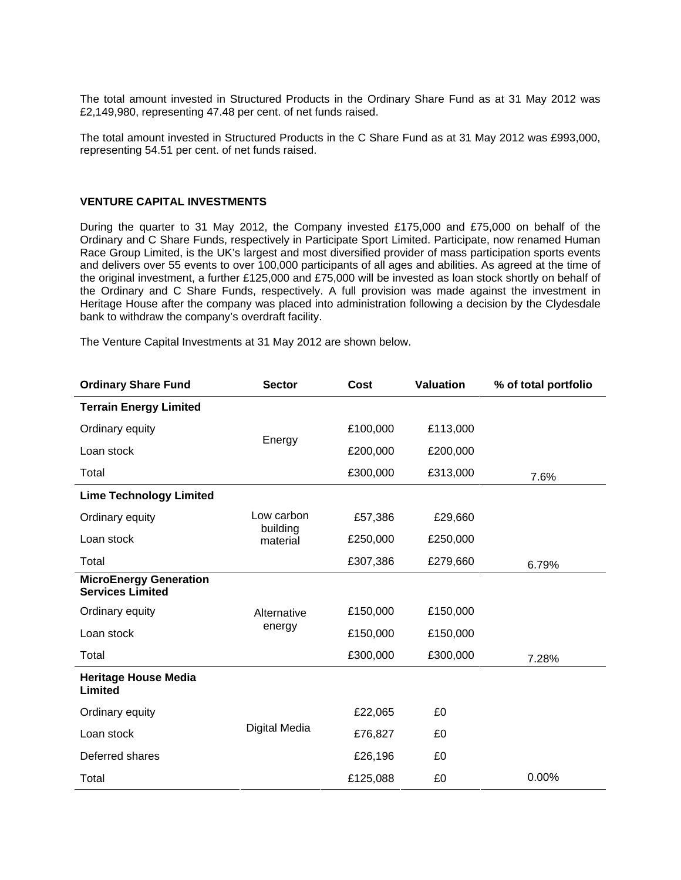The total amount invested in Structured Products in the Ordinary Share Fund as at 31 May 2012 was £2,149,980, representing 47.48 per cent. of net funds raised.

The total amount invested in Structured Products in the C Share Fund as at 31 May 2012 was £993,000, representing 54.51 per cent. of net funds raised.

### **VENTURE CAPITAL INVESTMENTS**

During the quarter to 31 May 2012, the Company invested £175,000 and £75,000 on behalf of the Ordinary and C Share Funds, respectively in Participate Sport Limited. Participate, now renamed Human Race Group Limited, is the UK's largest and most diversified provider of mass participation sports events and delivers over 55 events to over 100,000 participants of all ages and abilities. As agreed at the time of the original investment, a further £125,000 and £75,000 will be invested as loan stock shortly on behalf of the Ordinary and C Share Funds, respectively. A full provision was made against the investment in Heritage House after the company was placed into administration following a decision by the Clydesdale bank to withdraw the company's overdraft facility.

The Venture Capital Investments at 31 May 2012 are shown below.

| <b>Ordinary Share Fund</b><br><b>Sector</b>              |                        | Cost     | <b>Valuation</b> | % of total portfolio |
|----------------------------------------------------------|------------------------|----------|------------------|----------------------|
| <b>Terrain Energy Limited</b>                            |                        |          |                  |                      |
| Ordinary equity                                          |                        | £100,000 | £113,000         |                      |
| Loan stock                                               | Energy                 | £200,000 | £200,000         |                      |
| Total                                                    |                        | £300,000 | £313,000         | 7.6%                 |
| <b>Lime Technology Limited</b>                           |                        |          |                  |                      |
| Ordinary equity                                          | Low carbon<br>building | £57,386  | £29,660          |                      |
| Loan stock                                               | material               | £250,000 | £250,000         |                      |
| Total                                                    |                        | £307,386 | £279,660         | 6.79%                |
| <b>MicroEnergy Generation</b><br><b>Services Limited</b> |                        |          |                  |                      |
| Ordinary equity                                          | Alternative            | £150,000 | £150,000         |                      |
| Loan stock                                               | energy                 | £150,000 | £150,000         |                      |
| Total                                                    |                        | £300,000 | £300,000         | 7.28%                |
| <b>Heritage House Media</b><br>Limited                   |                        |          |                  |                      |
| Ordinary equity                                          |                        | £22,065  | £0               |                      |
| Loan stock                                               | Digital Media          | £76,827  | £0               |                      |
| Deferred shares                                          |                        | £26,196  | £0               |                      |
| Total                                                    |                        | £125,088 | £0               | 0.00%                |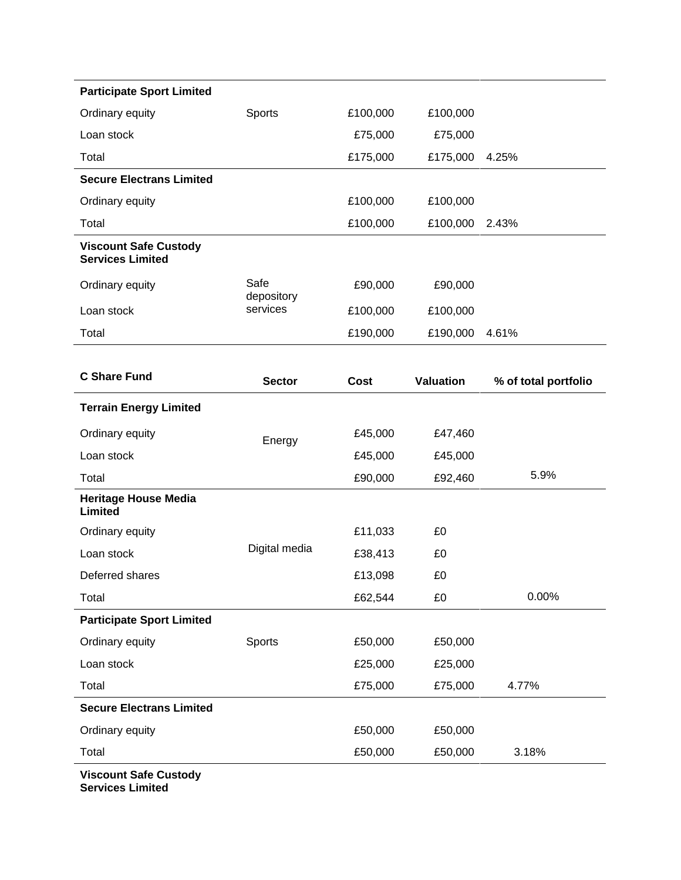| <b>Participate Sport Limited</b>                        |                    |             |                  |                      |
|---------------------------------------------------------|--------------------|-------------|------------------|----------------------|
| Ordinary equity                                         | Sports             | £100,000    | £100,000         |                      |
| Loan stock                                              |                    | £75,000     | £75,000          |                      |
| Total                                                   |                    | £175,000    | £175,000         | 4.25%                |
| <b>Secure Electrans Limited</b>                         |                    |             |                  |                      |
| Ordinary equity                                         |                    | £100,000    | £100,000         |                      |
| Total                                                   |                    | £100,000    | £100,000         | 2.43%                |
| <b>Viscount Safe Custody</b><br><b>Services Limited</b> |                    |             |                  |                      |
| Ordinary equity                                         | Safe<br>depository | £90,000     | £90,000          |                      |
| Loan stock                                              | services           | £100,000    | £100,000         |                      |
| Total                                                   |                    | £190,000    | £190,000         | 4.61%                |
|                                                         |                    |             |                  |                      |
| <b>C Share Fund</b>                                     | <b>Sector</b>      | <b>Cost</b> | <b>Valuation</b> | % of total portfolio |
| <b>Terrain Energy Limited</b>                           |                    |             |                  |                      |
| Ordinary equity                                         | Energy             | £45,000     | £47,460          |                      |
| Loan stock                                              |                    | £45,000     | £45,000          |                      |
| Total                                                   |                    | £90,000     | £92,460          | 5.9%                 |
| <b>Heritage House Media</b><br>Limited                  |                    |             |                  |                      |
| Ordinary equity                                         |                    | £11,033     | £0               |                      |
| Loan stock                                              | Digital media      | £38,413     | £0               |                      |
| Deferred shares                                         |                    | £13,098     | £0               |                      |
| Total                                                   |                    | £62,544     | £0               | 0.00%                |
| <b>Participate Sport Limited</b>                        |                    |             |                  |                      |
| Ordinary equity                                         | Sports             | £50,000     | £50,000          |                      |
| Loan stock                                              |                    | £25,000     | £25,000          |                      |
| Total                                                   |                    | £75,000     | £75,000          | 4.77%                |
| <b>Secure Electrans Limited</b>                         |                    |             |                  |                      |
| Ordinary equity                                         |                    | £50,000     | £50,000          |                      |
| Total                                                   |                    | £50,000     | £50,000          | 3.18%                |
| Vinnaunt Cafe Cuntady                                   |                    |             |                  |                      |

**Viscount Safe Custody Services Limited**